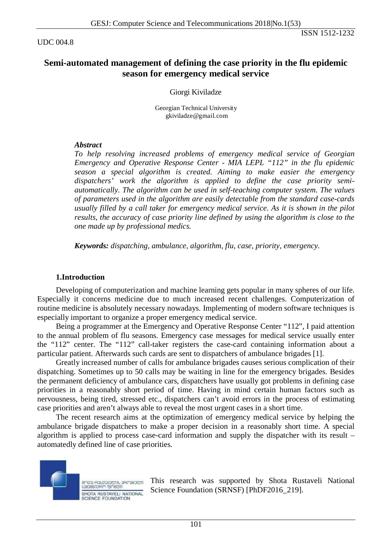UDC 004.8

ISSN 1512-1232

# **Semi-automated management of defining the case priority in the flu epidemic season for emergency medical service**

Giorgi Kiviladze

Georgian Technical University gkiviladze@gmail.com

### *Abstract*

*To help resolving increased problems of emergency medical service of Georgian Emergency and Operative Response Center - MIA LEPL "112" in the flu epidemic season a special algorithm is created. Aiming to make easier the emergency dispatchers' work the algorithm is applied to define the case priority semiautomatically. The algorithm can be used in self-teaching computer system. The values of parameters used in the algorithm are easily detectable from the standard case-cards usually filled by a call taker for emergency medical service. As it is shown in the pilot results, the accuracy of case priority line defined by using the algorithm is close to the one made up by professional medics.*

*Keywords: dispatching, ambulance, algorithm, flu, case, priority, emergency.* 

### **1.Introduction**

Developing of computerization and machine learning gets popular in many spheres of our life. Especially it concerns medicine due to much increased recent challenges. Computerization of routine medicine is absolutely necessary nowadays. Implementing of modern software techniques is especially important to organize a proper emergency medical service.

Being a programmer at the Emergency and Operative Response Center "112", I paid attention to the annual problem of flu seasons. Emergency case messages for medical service usually enter the "112" center. The "112" call-taker registers the case-card containing information about a particular patient. Afterwards such cards are sent to dispatchers of ambulance brigades [1].

Greatly increased number of calls for ambulance brigades causes serious complication of their dispatching. Sometimes up to 50 calls may be waiting in line for the emergency brigades. Besides the permanent deficiency of ambulance cars, dispatchers have usually got problems in defining case priorities in a reasonably short period of time. Having in mind certain human factors such as nervousness, being tired, stressed etc., dispatchers can't avoid errors in the process of estimating case priorities and aren't always able to reveal the most urgent cases in a short time.

The recent research aims at the optimization of emergency medical service by helping the ambulance brigade dispatchers to make a proper decision in a reasonably short time. A special algorithm is applied to process case-card information and supply the dispatcher with its result – automatedly defined line of case priorities.



This research was supported by Shota Rustaveli National Science Foundation (SRNSF) [PhDF2016\_219].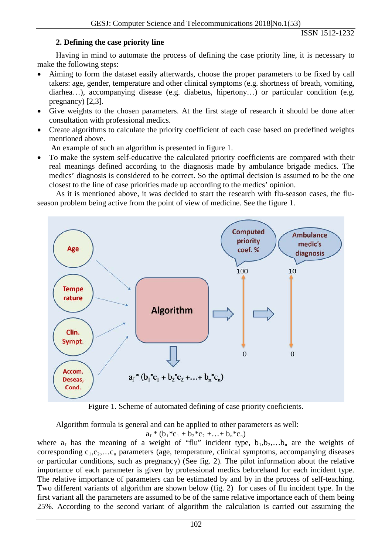### **2. Defining the case priority line**

Having in mind to automate the process of defining the case priority line, it is necessary to make the following steps:

- Aiming to form the dataset easily afterwards, choose the proper parameters to be fixed by call takers: age, gender, temperature and other clinical symptoms (e.g. shortness of breath, vomiting, diarhea…), accompanying disease (e.g. diabetus, hipertony...) or particular condition (e.g. pregnancy) [2,3].
- Give weights to the chosen parameters. At the first stage of research it should be done after consultation with professional medics.
- Create algorithms to calculate the priority coefficient of each case based on predefined weights mentioned above.

An example of such an algorithm is presented in figure 1.

• To make the system self-educative the calculated priority coefficients are compared with their real meanings defined according to the diagnosis made by ambulance brigade medics. The medics' diagnosis is considered to be correct. So the optimal decision is assumed to be the one closest to the line of case priorities made up according to the medics' opinion.

As it is mentioned above, it was decided to start the research with flu-season cases, the fluseason problem being active from the point of view of medicine. See the figure 1.



Figure 1. Scheme of automated defining of case priority coeficients.

Algorithm formula is general and can be applied to other parameters as well:

 $a_f * (b_1 * c_1 + b_2 * c_2 + ... + b_n * c_n)$ 

where  $a_f$  has the meaning of a weight of "flu" incident type,  $b_1, b_2,...b_n$  are the weights of corresponding  $c_1, c_2, \ldots c_n$  parameters (age, temperature, clinical symptoms, accompanying diseases or particular conditions, such as pregnancy) (See fig. 2). The pilot information about the relative importance of each parameter is given by professional medics beforehand for each incident type. The relative importance of parameters can be estimated by and by in the process of self-teaching. Two different variants of algorithm are shown below (fig. 2) for cases of flu incident type. In the first variant all the parameters are assumed to be of the same relative importance each of them being 25%. According to the second variant of algorithm the calculation is carried out assuming the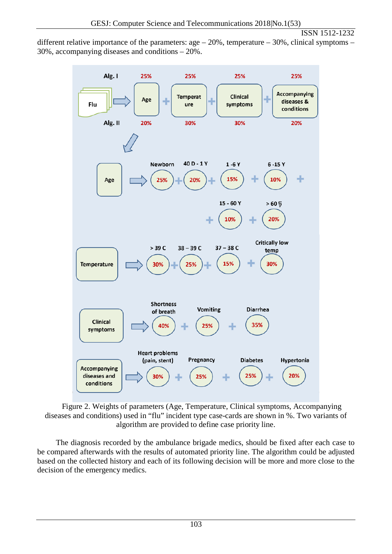#### ISSN 1512-1232

different relative importance of the parameters:  $age - 20\%$ , temperature  $-30\%$ , clinical symptoms  $-$ 30%, accompanying diseases and conditions – 20%.



Figure 2. Weights of parameters (Age, Temperature, Clinical symptoms, Accompanying diseases and conditions) used in "flu" incident type case-cards are shown in %. Two variants of algorithm are provided to define case priority line.

The diagnosis recorded by the ambulance brigade medics, should be fixed after each case to be compared afterwards with the results of automated priority line. The algorithm could be adjusted based on the collected history and each of its following decision will be more and more close to the decision of the emergency medics.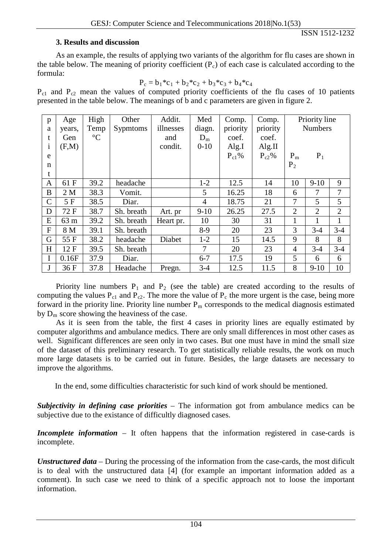# **3. Results and discussion**

As an example, the results of applying two variants of the algorithm for flu cases are shown in the table below. The meaning of priority coefficient  $(P_c)$  of each case is calculated according to the formula:

$$
P_c = b_1 * c_1 + b_2 * c_2 + b_3 * c_3 + b_4 * c_4
$$

 $P_{c1}$  and  $P_{c2}$  mean the values of computed priority coefficients of the flu cases of 10 patients presented in the table below. The meanings of b and c parameters are given in figure 2.

| p             | Age    | High            | Other           | Addit.    | Med      | Comp.      | Comp.      | Priority line  |                |                |
|---------------|--------|-----------------|-----------------|-----------|----------|------------|------------|----------------|----------------|----------------|
| a             | years, | Temp            | <b>Sypmtoms</b> | illnesses | diagn.   | priority   | priority   | <b>Numbers</b> |                |                |
| t             | Gen    | $\rm ^{\circ}C$ |                 | and       | $D_m$    | coef.      | coef.      |                |                |                |
| $\mathbf{1}$  | (F,M)  |                 |                 | condit.   | $0 - 10$ | Alg.I      | Alg.II     |                |                |                |
| e             |        |                 |                 |           |          | $P_{c1}$ % | $P_{c2}\%$ | $P_m$          | $P_1$          |                |
| $\mathbf n$   |        |                 |                 |           |          |            |            | $P_2$          |                |                |
| t             |        |                 |                 |           |          |            |            |                |                |                |
| $\mathbf{A}$  | 61 F   | 39.2            | headache        |           | $1-2$    | 12.5       | 14         | 10             | $9 - 10$       | 9              |
| B             | 2M     | 38.3            | Vomit.          |           | 5        | 16.25      | 18         | 6              | 7              | $\overline{7}$ |
| $\mathcal{C}$ | 5 F    | 38.5            | Diar.           |           | 4        | 18.75      | 21         | $\overline{7}$ | 5              | 5              |
| D             | 72 F   | 38.7            | Sh. breath      | Art. pr   | $9-10$   | 26.25      | 27.5       | $\overline{2}$ | $\overline{2}$ | $\overline{2}$ |
| E             | 63 m   | 39.2            | Sh. breath      | Heart pr. | 10       | 30         | 31         |                | 1              | 1              |
| $\mathbf{F}$  | 8 M    | 39.1            | Sh. breath      |           | $8-9$    | 20         | 23         | 3              | $3-4$          | $3 - 4$        |
| G             | 55 F   | 38.2            | headache        | Diabet    | $1-2$    | 15         | 14.5       | 9              | 8              | 8              |
| H             | 12F    | 39.5            | Sh. breath      |           | 7        | 20         | 23         | $\overline{4}$ | $3-4$          | $3-4$          |
| I             | 0.16F  | 37.9            | Diar.           |           | $6 - 7$  | 17.5       | 19         | 5              | 6              | 6              |
| J             | 36 F   | 37.8            | Headache        | Pregn.    | $3-4$    | 12.5       | 11.5       | 8              | $9-10$         | 10             |

Priority line numbers  $P_1$  and  $P_2$  (see the table) are created according to the results of computing the values  $P_{c1}$  and  $P_{c2}$ . The more the value of  $P_c$  the more urgent is the case, being more forward in the priority line. Priority line number  $P_m$  corresponds to the medical diagnosis estimated by  $D_m$  score showing the heaviness of the case.

As it is seen from the table, the first 4 cases in priority lines are equally estimated by computer algorithms and ambulance medics. There are only small differences in most other cases as well. Significant differences are seen only in two cases. But one must have in mind the small size of the dataset of this preliminary research. To get statistically reliable results, the work on much more large datasets is to be carried out in future. Besides, the large datasets are necessary to improve the algorithms.

In the end, some difficulties characteristic for such kind of work should be mentioned.

*Subjectivity in defining case priorities* – The information got from ambulance medics can be subjective due to the existance of difficultly diagnosed cases.

*Incomplete information* – It often happens that the information registered in case-cards is incomplete.

*Unstructured data* – During the processing of the information from the case-cards, the most dificult is to deal with the unstructured data [4] (for example an important information added as a comment). In such case we need to think of a specific approach not to loose the important information.